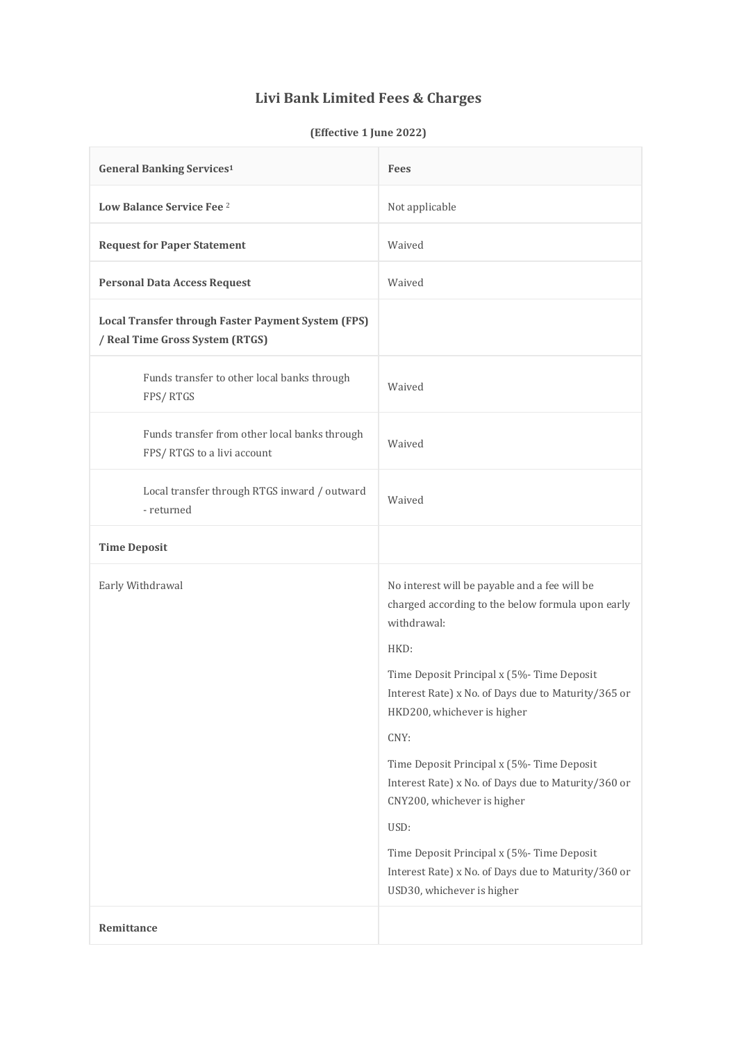## **Livi Bank Limited Fees & Charges**

## **(Effective 1 June 2022)**

| <b>General Banking Services1</b>                                                             | <b>Fees</b>                                                                                                                                                                                                                                                                                                                                                                                                                                                                                                                                         |
|----------------------------------------------------------------------------------------------|-----------------------------------------------------------------------------------------------------------------------------------------------------------------------------------------------------------------------------------------------------------------------------------------------------------------------------------------------------------------------------------------------------------------------------------------------------------------------------------------------------------------------------------------------------|
| Low Balance Service Fee 2                                                                    | Not applicable                                                                                                                                                                                                                                                                                                                                                                                                                                                                                                                                      |
| <b>Request for Paper Statement</b>                                                           | Waived                                                                                                                                                                                                                                                                                                                                                                                                                                                                                                                                              |
| <b>Personal Data Access Request</b>                                                          | Waived                                                                                                                                                                                                                                                                                                                                                                                                                                                                                                                                              |
| <b>Local Transfer through Faster Payment System (FPS)</b><br>/ Real Time Gross System (RTGS) |                                                                                                                                                                                                                                                                                                                                                                                                                                                                                                                                                     |
| Funds transfer to other local banks through<br>FPS/RTGS                                      | Waived                                                                                                                                                                                                                                                                                                                                                                                                                                                                                                                                              |
| Funds transfer from other local banks through<br>FPS/RTGS to a livi account                  | Waived                                                                                                                                                                                                                                                                                                                                                                                                                                                                                                                                              |
| Local transfer through RTGS inward / outward<br>- returned                                   | Waived                                                                                                                                                                                                                                                                                                                                                                                                                                                                                                                                              |
| <b>Time Deposit</b>                                                                          |                                                                                                                                                                                                                                                                                                                                                                                                                                                                                                                                                     |
| Early Withdrawal                                                                             | No interest will be payable and a fee will be<br>charged according to the below formula upon early<br>withdrawal:<br>HKD:<br>Time Deposit Principal x (5%-Time Deposit<br>Interest Rate) x No. of Days due to Maturity/365 or<br>HKD200, whichever is higher<br>CNY:<br>Time Deposit Principal x (5%- Time Deposit<br>Interest Rate) x No. of Days due to Maturity/360 or<br>CNY200, whichever is higher<br>USD:<br>Time Deposit Principal x (5%- Time Deposit<br>Interest Rate) x No. of Days due to Maturity/360 or<br>USD30, whichever is higher |
| Remittance                                                                                   |                                                                                                                                                                                                                                                                                                                                                                                                                                                                                                                                                     |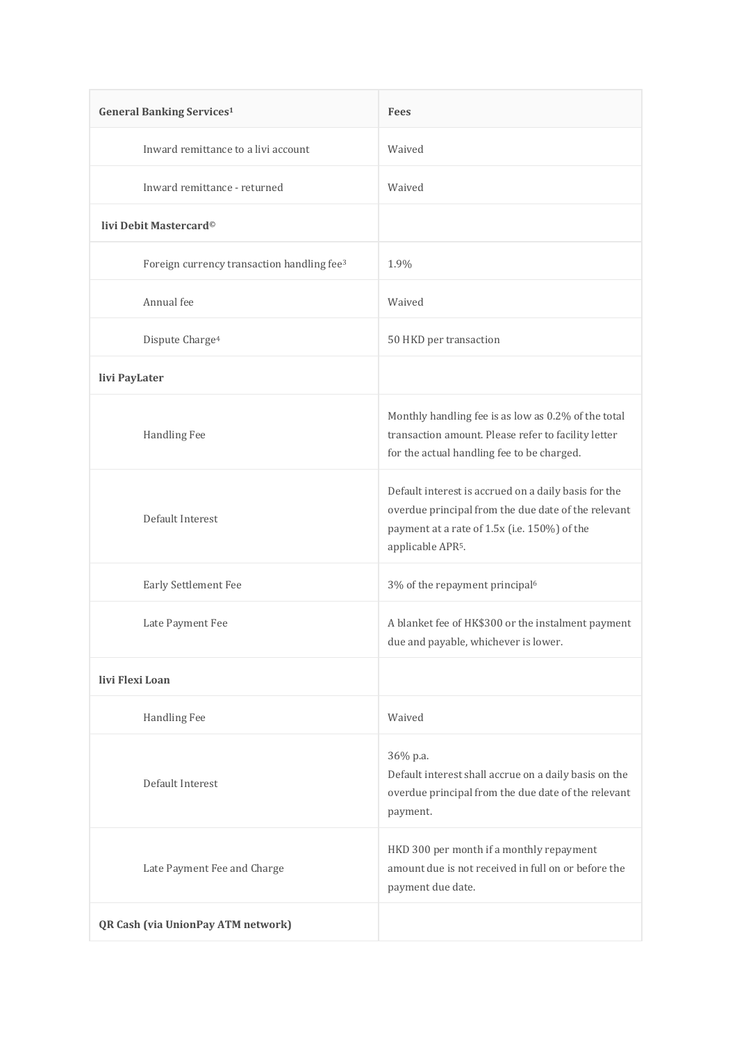| <b>General Banking Services1</b>                       | <b>Fees</b>                                                                                                                                                                                  |
|--------------------------------------------------------|----------------------------------------------------------------------------------------------------------------------------------------------------------------------------------------------|
| Inward remittance to a livi account                    | Waived                                                                                                                                                                                       |
| Inward remittance - returned                           | Waived                                                                                                                                                                                       |
| livi Debit Mastercard <sup>©</sup>                     |                                                                                                                                                                                              |
| Foreign currency transaction handling fee <sup>3</sup> | 1.9%                                                                                                                                                                                         |
| Annual fee                                             | Waived                                                                                                                                                                                       |
| Dispute Charge <sup>4</sup>                            | 50 HKD per transaction                                                                                                                                                                       |
| livi PayLater                                          |                                                                                                                                                                                              |
| Handling Fee                                           | Monthly handling fee is as low as 0.2% of the total<br>transaction amount. Please refer to facility letter<br>for the actual handling fee to be charged.                                     |
| Default Interest                                       | Default interest is accrued on a daily basis for the<br>overdue principal from the due date of the relevant<br>payment at a rate of 1.5x (i.e. 150%) of the<br>applicable APR <sup>5</sup> . |
| Early Settlement Fee                                   | 3% of the repayment principal <sup>6</sup>                                                                                                                                                   |
| Late Payment Fee                                       | A blanket fee of HK\$300 or the instalment payment<br>due and payable, whichever is lower.                                                                                                   |
| livi Flexi Loan                                        |                                                                                                                                                                                              |
| Handling Fee                                           | Waived                                                                                                                                                                                       |
| Default Interest                                       | 36% p.a.<br>Default interest shall accrue on a daily basis on the<br>overdue principal from the due date of the relevant<br>payment.                                                         |
| Late Payment Fee and Charge                            | HKD 300 per month if a monthly repayment<br>amount due is not received in full on or before the<br>payment due date.                                                                         |
| QR Cash (via UnionPay ATM network)                     |                                                                                                                                                                                              |